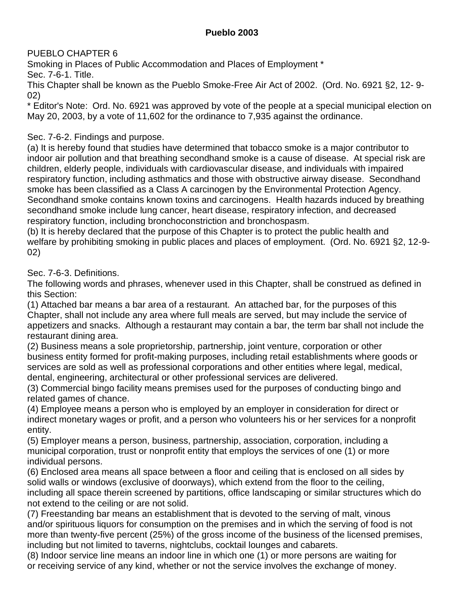## **Pueblo 2003**

PUEBLO CHAPTER 6

Smoking in Places of Public Accommodation and Places of Employment \*

Sec. 7-6-1. Title.

This Chapter shall be known as the Pueblo Smoke-Free Air Act of 2002. (Ord. No. 6921 §2, 12- 9- 02)

\* Editor's Note: Ord. No. 6921 was approved by vote of the people at a special municipal election on May 20, 2003, by a vote of 11,602 for the ordinance to 7,935 against the ordinance.

# Sec. 7-6-2. Findings and purpose.

(a) It is hereby found that studies have determined that tobacco smoke is a major contributor to indoor air pollution and that breathing secondhand smoke is a cause of disease. At special risk are children, elderly people, individuals with cardiovascular disease, and individuals with impaired respiratory function, including asthmatics and those with obstructive airway disease. Secondhand smoke has been classified as a Class A carcinogen by the Environmental Protection Agency. Secondhand smoke contains known toxins and carcinogens. Health hazards induced by breathing secondhand smoke include lung cancer, heart disease, respiratory infection, and decreased respiratory function, including bronchoconstriction and bronchospasm.

(b) It is hereby declared that the purpose of this Chapter is to protect the public health and welfare by prohibiting smoking in public places and places of employment. (Ord. No. 6921 §2, 12-9- 02)

Sec. 7-6-3. Definitions.

The following words and phrases, whenever used in this Chapter, shall be construed as defined in this Section:

(1) Attached bar means a bar area of a restaurant. An attached bar, for the purposes of this Chapter, shall not include any area where full meals are served, but may include the service of appetizers and snacks. Although a restaurant may contain a bar, the term bar shall not include the restaurant dining area.

(2) Business means a sole proprietorship, partnership, joint venture, corporation or other business entity formed for profit-making purposes, including retail establishments where goods or services are sold as well as professional corporations and other entities where legal, medical, dental, engineering, architectural or other professional services are delivered.

(3) Commercial bingo facility means premises used for the purposes of conducting bingo and related games of chance.

(4) Employee means a person who is employed by an employer in consideration for direct or indirect monetary wages or profit, and a person who volunteers his or her services for a nonprofit entity.

(5) Employer means a person, business, partnership, association, corporation, including a municipal corporation, trust or nonprofit entity that employs the services of one (1) or more individual persons.

(6) Enclosed area means all space between a floor and ceiling that is enclosed on all sides by solid walls or windows (exclusive of doorways), which extend from the floor to the ceiling, including all space therein screened by partitions, office landscaping or similar structures which do not extend to the ceiling or are not solid.

(7) Freestanding bar means an establishment that is devoted to the serving of malt, vinous and/or spirituous liquors for consumption on the premises and in which the serving of food is not more than twenty-five percent (25%) of the gross income of the business of the licensed premises, including but not limited to taverns, nightclubs, cocktail lounges and cabarets.

(8) Indoor service line means an indoor line in which one (1) or more persons are waiting for or receiving service of any kind, whether or not the service involves the exchange of money.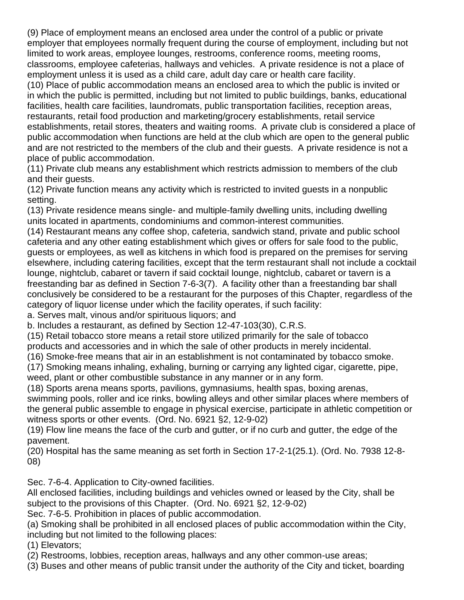(9) Place of employment means an enclosed area under the control of a public or private employer that employees normally frequent during the course of employment, including but not limited to work areas, employee lounges, restrooms, conference rooms, meeting rooms, classrooms, employee cafeterias, hallways and vehicles. A private residence is not a place of employment unless it is used as a child care, adult day care or health care facility.

(10) Place of public accommodation means an enclosed area to which the public is invited or in which the public is permitted, including but not limited to public buildings, banks, educational facilities, health care facilities, laundromats, public transportation facilities, reception areas, restaurants, retail food production and marketing/grocery establishments, retail service establishments, retail stores, theaters and waiting rooms. A private club is considered a place of public accommodation when functions are held at the club which are open to the general public and are not restricted to the members of the club and their guests. A private residence is not a place of public accommodation.

(11) Private club means any establishment which restricts admission to members of the club and their guests.

(12) Private function means any activity which is restricted to invited guests in a nonpublic setting.

(13) Private residence means single- and multiple-family dwelling units, including dwelling units located in apartments, condominiums and common-interest communities.

(14) Restaurant means any coffee shop, cafeteria, sandwich stand, private and public school cafeteria and any other eating establishment which gives or offers for sale food to the public, guests or employees, as well as kitchens in which food is prepared on the premises for serving elsewhere, including catering facilities, except that the term restaurant shall not include a cocktail lounge, nightclub, cabaret or tavern if said cocktail lounge, nightclub, cabaret or tavern is a freestanding bar as defined in Section 7-6-3(7). A facility other than a freestanding bar shall conclusively be considered to be a restaurant for the purposes of this Chapter, regardless of the category of liquor license under which the facility operates, if such facility:

a. Serves malt, vinous and/or spirituous liquors; and

b. Includes a restaurant, as defined by Section 12-47-103(30), C.R.S.

(15) Retail tobacco store means a retail store utilized primarily for the sale of tobacco

products and accessories and in which the sale of other products in merely incidental.

(16) Smoke-free means that air in an establishment is not contaminated by tobacco smoke.

(17) Smoking means inhaling, exhaling, burning or carrying any lighted cigar, cigarette, pipe, weed, plant or other combustible substance in any manner or in any form.

(18) Sports arena means sports, pavilions, gymnasiums, health spas, boxing arenas,

swimming pools, roller and ice rinks, bowling alleys and other similar places where members of the general public assemble to engage in physical exercise, participate in athletic competition or witness sports or other events. (Ord. No. 6921 §2, 12-9-02)

(19) Flow line means the face of the curb and gutter, or if no curb and gutter, the edge of the pavement.

(20) Hospital has the same meaning as set forth in Section 17-2-1(25.1). (Ord. No. 7938 12-8- 08)

Sec. 7-6-4. Application to City-owned facilities.

All enclosed facilities, including buildings and vehicles owned or leased by the City, shall be subject to the provisions of this Chapter. (Ord. No. 6921 §2, 12-9-02)

Sec. 7-6-5. Prohibition in places of public accommodation.

(a) Smoking shall be prohibited in all enclosed places of public accommodation within the City, including but not limited to the following places:

(1) Elevators;

(2) Restrooms, lobbies, reception areas, hallways and any other common-use areas;

(3) Buses and other means of public transit under the authority of the City and ticket, boarding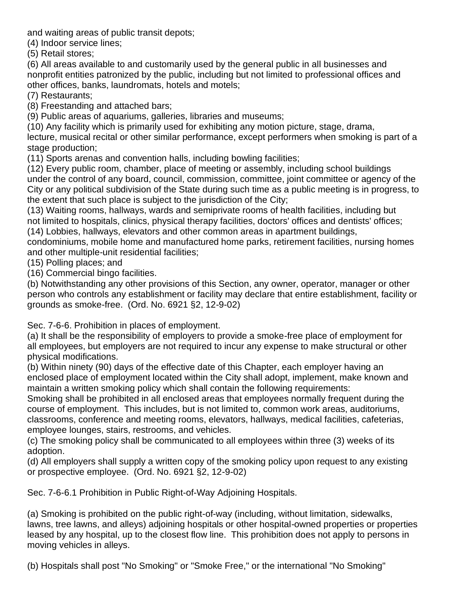and waiting areas of public transit depots;

(4) Indoor service lines;

(5) Retail stores;

(6) All areas available to and customarily used by the general public in all businesses and nonprofit entities patronized by the public, including but not limited to professional offices and other offices, banks, laundromats, hotels and motels;

(7) Restaurants;

(8) Freestanding and attached bars;

(9) Public areas of aquariums, galleries, libraries and museums;

(10) Any facility which is primarily used for exhibiting any motion picture, stage, drama, lecture, musical recital or other similar performance, except performers when smoking is part of a stage production;

(11) Sports arenas and convention halls, including bowling facilities;

(12) Every public room, chamber, place of meeting or assembly, including school buildings under the control of any board, council, commission, committee, joint committee or agency of the City or any political subdivision of the State during such time as a public meeting is in progress, to the extent that such place is subject to the jurisdiction of the City;

(13) Waiting rooms, hallways, wards and semiprivate rooms of health facilities, including but not limited to hospitals, clinics, physical therapy facilities, doctors' offices and dentists' offices;

(14) Lobbies, hallways, elevators and other common areas in apartment buildings,

condominiums, mobile home and manufactured home parks, retirement facilities, nursing homes and other multiple-unit residential facilities;

(15) Polling places; and

(16) Commercial bingo facilities.

(b) Notwithstanding any other provisions of this Section, any owner, operator, manager or other person who controls any establishment or facility may declare that entire establishment, facility or grounds as smoke-free. (Ord. No. 6921 §2, 12-9-02)

Sec. 7-6-6. Prohibition in places of employment.

(a) It shall be the responsibility of employers to provide a smoke-free place of employment for all employees, but employers are not required to incur any expense to make structural or other physical modifications.

(b) Within ninety (90) days of the effective date of this Chapter, each employer having an enclosed place of employment located within the City shall adopt, implement, make known and maintain a written smoking policy which shall contain the following requirements:

Smoking shall be prohibited in all enclosed areas that employees normally frequent during the course of employment. This includes, but is not limited to, common work areas, auditoriums, classrooms, conference and meeting rooms, elevators, hallways, medical facilities, cafeterias, employee lounges, stairs, restrooms, and vehicles.

(c) The smoking policy shall be communicated to all employees within three (3) weeks of its adoption.

(d) All employers shall supply a written copy of the smoking policy upon request to any existing or prospective employee. (Ord. No. 6921 §2, 12-9-02)

Sec. 7-6-6.1 Prohibition in Public Right-of-Way Adjoining Hospitals.

(a) Smoking is prohibited on the public right-of-way (including, without limitation, sidewalks, lawns, tree lawns, and alleys) adjoining hospitals or other hospital-owned properties or properties leased by any hospital, up to the closest flow line. This prohibition does not apply to persons in moving vehicles in alleys.

(b) Hospitals shall post "No Smoking" or "Smoke Free," or the international "No Smoking"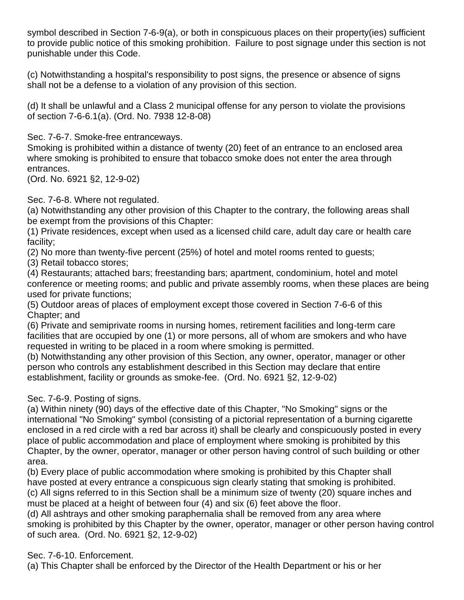symbol described in Section 7-6-9(a), or both in conspicuous places on their property(ies) sufficient to provide public notice of this smoking prohibition. Failure to post signage under this section is not punishable under this Code.

(c) Notwithstanding a hospital's responsibility to post signs, the presence or absence of signs shall not be a defense to a violation of any provision of this section.

(d) It shall be unlawful and a Class 2 municipal offense for any person to violate the provisions of section 7-6-6.1(a). (Ord. No. 7938 12-8-08)

Sec. 7-6-7. Smoke-free entranceways.

Smoking is prohibited within a distance of twenty (20) feet of an entrance to an enclosed area where smoking is prohibited to ensure that tobacco smoke does not enter the area through entrances.

(Ord. No. 6921 §2, 12-9-02)

#### Sec. 7-6-8. Where not regulated.

(a) Notwithstanding any other provision of this Chapter to the contrary, the following areas shall be exempt from the provisions of this Chapter:

(1) Private residences, except when used as a licensed child care, adult day care or health care facility;

(2) No more than twenty-five percent (25%) of hotel and motel rooms rented to guests;

(3) Retail tobacco stores;

(4) Restaurants; attached bars; freestanding bars; apartment, condominium, hotel and motel conference or meeting rooms; and public and private assembly rooms, when these places are being used for private functions;

(5) Outdoor areas of places of employment except those covered in Section 7-6-6 of this Chapter; and

(6) Private and semiprivate rooms in nursing homes, retirement facilities and long-term care facilities that are occupied by one (1) or more persons, all of whom are smokers and who have requested in writing to be placed in a room where smoking is permitted.

(b) Notwithstanding any other provision of this Section, any owner, operator, manager or other person who controls any establishment described in this Section may declare that entire establishment, facility or grounds as smoke-fee. (Ord. No. 6921 §2, 12-9-02)

### Sec. 7-6-9. Posting of signs.

(a) Within ninety (90) days of the effective date of this Chapter, "No Smoking" signs or the international "No Smoking" symbol (consisting of a pictorial representation of a burning cigarette enclosed in a red circle with a red bar across it) shall be clearly and conspicuously posted in every place of public accommodation and place of employment where smoking is prohibited by this Chapter, by the owner, operator, manager or other person having control of such building or other area.

(b) Every place of public accommodation where smoking is prohibited by this Chapter shall have posted at every entrance a conspicuous sign clearly stating that smoking is prohibited. (c) All signs referred to in this Section shall be a minimum size of twenty (20) square inches and

must be placed at a height of between four (4) and six (6) feet above the floor.

(d) All ashtrays and other smoking paraphernalia shall be removed from any area where smoking is prohibited by this Chapter by the owner, operator, manager or other person having control of such area. (Ord. No. 6921 §2, 12-9-02)

### Sec. 7-6-10. Enforcement.

(a) This Chapter shall be enforced by the Director of the Health Department or his or her